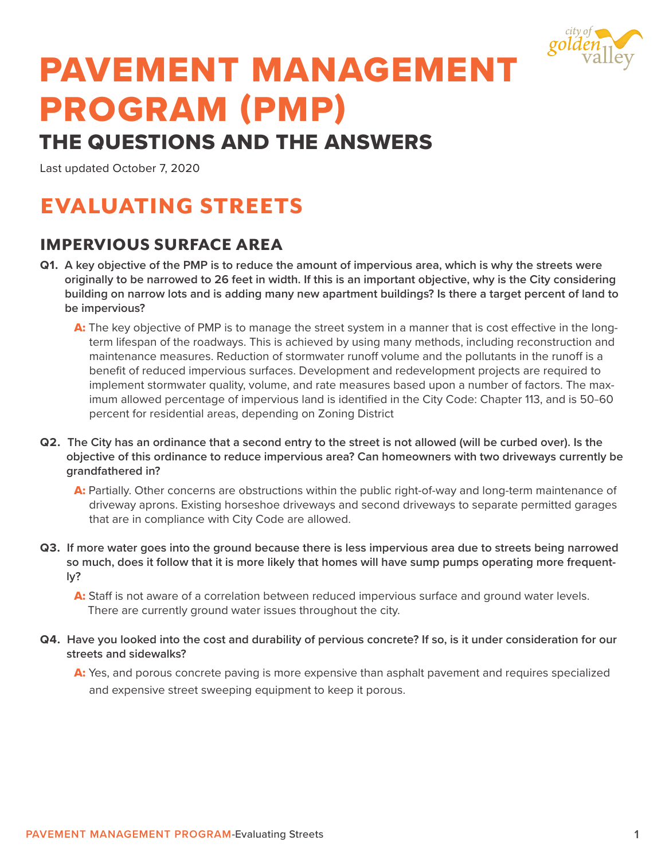

# PAVEMENT MANAGEMENT PROGRAM (PMP)

## THE QUESTIONS AND THE ANSWERS

Last updated October 7, 2020

# EVALUATING STREETS

## IMPERVIOUS SURFACE AREA

- **Q1. A key objective of the PMP is to reduce the amount of impervious area, which is why the streets were originally to be narrowed to 26 feet in width. If this is an important objective, why is the City considering building on narrow lots and is adding many new apartment buildings? Is there a target percent of land to be impervious?**
	- A: The key objective of PMP is to manage the street system in a manner that is cost effective in the longterm lifespan of the roadways. This is achieved by using many methods, including reconstruction and maintenance measures. Reduction of stormwater runoff volume and the pollutants in the runoff is a benefit of reduced impervious surfaces. Development and redevelopment projects are required to implement stormwater quality, volume, and rate measures based upon a number of factors. The maximum allowed percentage of impervious land is identified in the City Code: Chapter 113, and is 50–60 percent for residential areas, depending on Zoning District
- **Q2. The City has an ordinance that a second entry to the street is not allowed (will be curbed over). Is the objective of this ordinance to reduce impervious area? Can homeowners with two driveways currently be grandfathered in?**
	- A: Partially. Other concerns are obstructions within the public right-of-way and long-term maintenance of driveway aprons. Existing horseshoe driveways and second driveways to separate permitted garages that are in compliance with City Code are allowed.
- **Q3. If more water goes into the ground because there is less impervious area due to streets being narrowed so much, does it follow that it is more likely that homes will have sump pumps operating more frequently?**
	- A: Staff is not aware of a correlation between reduced impervious surface and ground water levels. There are currently ground water issues throughout the city.
- **Q4. Have you looked into the cost and durability of pervious concrete? If so, is it under consideration for our streets and sidewalks?** 
	- A: Yes, and porous concrete paving is more expensive than asphalt pavement and requires specialized and expensive street sweeping equipment to keep it porous.